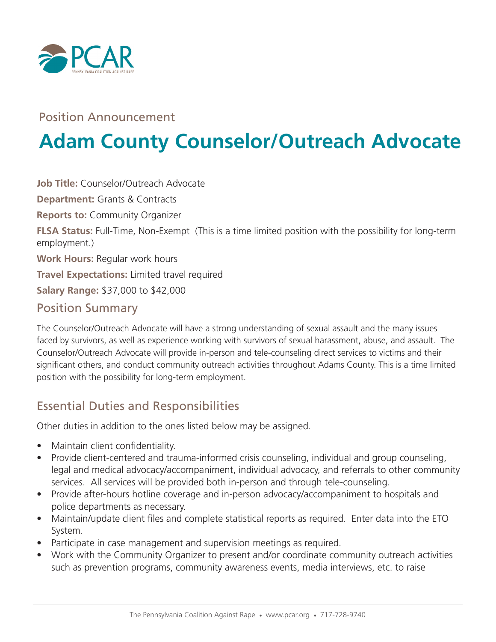

#### Position Announcement

# **Adam County Counselor/Outreach Advocate**

**Job Title:** Counselor/Outreach Advocate **Department:** Grants & Contracts **Reports to:** Community Organizer **FLSA Status:** Full-Time, Non-Exempt (This is a time limited position with the possibility for long-term employment.) **Work Hours:** Regular work hours **Travel Expectations:** Limited travel required **Salary Range:** \$37,000 to \$42,000 Position Summary

The Counselor/Outreach Advocate will have a strong understanding of sexual assault and the many issues faced by survivors, as well as experience working with survivors of sexual harassment, abuse, and assault. The Counselor/Outreach Advocate will provide in-person and tele-counseling direct services to victims and their significant others, and conduct community outreach activities throughout Adams County. This is a time limited position with the possibility for long-term employment.

# Essential Duties and Responsibilities

Other duties in addition to the ones listed below may be assigned.

- Maintain client confidentiality.
- Provide client-centered and trauma-informed crisis counseling, individual and group counseling, legal and medical advocacy/accompaniment, individual advocacy, and referrals to other community services. All services will be provided both in-person and through tele-counseling.
- Provide after-hours hotline coverage and in-person advocacy/accompaniment to hospitals and police departments as necessary.
- Maintain/update client files and complete statistical reports as required. Enter data into the ETO System.
- Participate in case management and supervision meetings as required.
- Work with the Community Organizer to present and/or coordinate community outreach activities such as prevention programs, community awareness events, media interviews, etc. to raise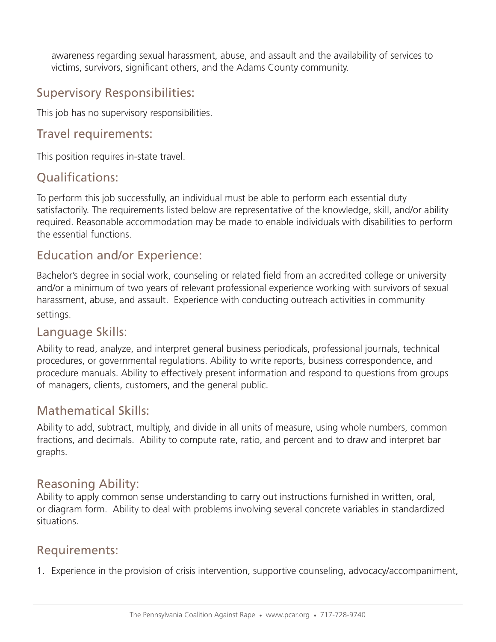awareness regarding sexual harassment, abuse, and assault and the availability of services to victims, survivors, significant others, and the Adams County community.

# Supervisory Responsibilities:

This job has no supervisory responsibilities.

#### Travel requirements:

This position requires in-state travel.

### Qualifications:

To perform this job successfully, an individual must be able to perform each essential duty satisfactorily. The requirements listed below are representative of the knowledge, skill, and/or ability required. Reasonable accommodation may be made to enable individuals with disabilities to perform the essential functions.

#### Education and/or Experience:

Bachelor's degree in social work, counseling or related field from an accredited college or university and/or a minimum of two years of relevant professional experience working with survivors of sexual harassment, abuse, and assault. Experience with conducting outreach activities in community settings.

#### Language Skills:

Ability to read, analyze, and interpret general business periodicals, professional journals, technical procedures, or governmental regulations. Ability to write reports, business correspondence, and procedure manuals. Ability to effectively present information and respond to questions from groups of managers, clients, customers, and the general public.

#### Mathematical Skills:

Ability to add, subtract, multiply, and divide in all units of measure, using whole numbers, common fractions, and decimals. Ability to compute rate, ratio, and percent and to draw and interpret bar graphs.

#### Reasoning Ability:

Ability to apply common sense understanding to carry out instructions furnished in written, oral, or diagram form. Ability to deal with problems involving several concrete variables in standardized situations.

#### Requirements:

1. Experience in the provision of crisis intervention, supportive counseling, advocacy/accompaniment,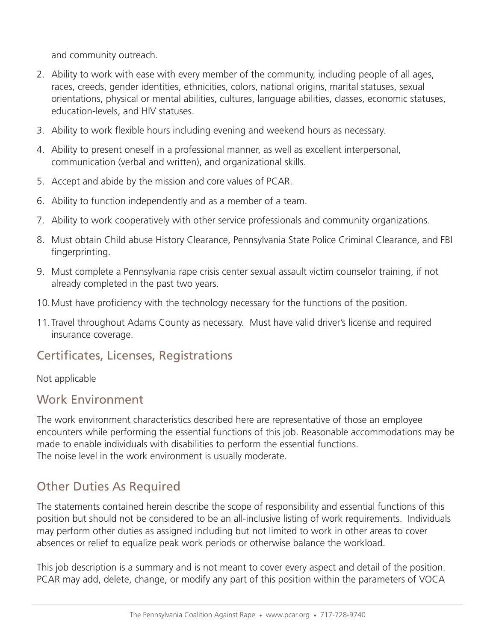and community outreach.

- 2. Ability to work with ease with every member of the community, including people of all ages, races, creeds, gender identities, ethnicities, colors, national origins, marital statuses, sexual orientations, physical or mental abilities, cultures, language abilities, classes, economic statuses, education-levels, and HIV statuses.
- 3. Ability to work flexible hours including evening and weekend hours as necessary.
- 4. Ability to present oneself in a professional manner, as well as excellent interpersonal, communication (verbal and written), and organizational skills.
- 5. Accept and abide by the mission and core values of PCAR.
- 6. Ability to function independently and as a member of a team.
- 7. Ability to work cooperatively with other service professionals and community organizations.
- 8. Must obtain Child abuse History Clearance, Pennsylvania State Police Criminal Clearance, and FBI fingerprinting.
- 9. Must complete a Pennsylvania rape crisis center sexual assault victim counselor training, if not already completed in the past two years.
- 10.Must have proficiency with the technology necessary for the functions of the position.
- 11.Travel throughout Adams County as necessary. Must have valid driver's license and required insurance coverage.

# Certificates, Licenses, Registrations

#### Not applicable

#### Work Environment

The work environment characteristics described here are representative of those an employee encounters while performing the essential functions of this job. Reasonable accommodations may be made to enable individuals with disabilities to perform the essential functions. The noise level in the work environment is usually moderate.

# Other Duties As Required

The statements contained herein describe the scope of responsibility and essential functions of this position but should not be considered to be an all-inclusive listing of work requirements. Individuals may perform other duties as assigned including but not limited to work in other areas to cover absences or relief to equalize peak work periods or otherwise balance the workload.

This job description is a summary and is not meant to cover every aspect and detail of the position. PCAR may add, delete, change, or modify any part of this position within the parameters of VOCA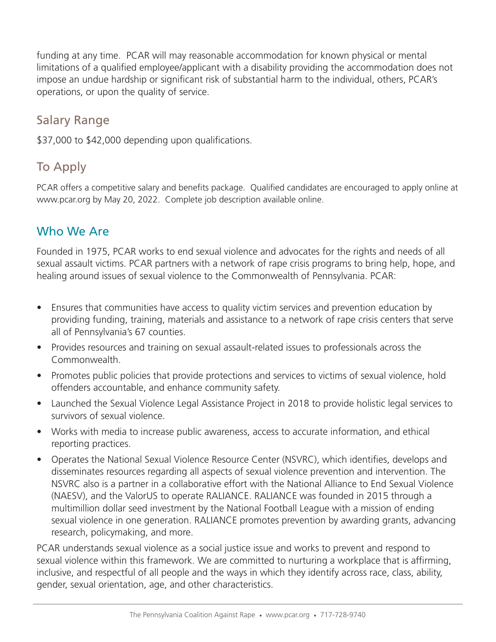funding at any time. PCAR will may reasonable accommodation for known physical or mental limitations of a qualified employee/applicant with a disability providing the accommodation does not impose an undue hardship or significant risk of substantial harm to the individual, others, PCAR's operations, or upon the quality of service.

#### Salary Range

\$37,000 to \$42,000 depending upon qualifications.

# To Apply

PCAR offers a competitive salary and benefits package. Qualified candidates are encouraged to apply online at www.pcar.org by May 20, 2022. Complete job description available online.

# Who We Are

Founded in 1975, PCAR works to end sexual violence and advocates for the rights and needs of all sexual assault victims. PCAR partners with a network of rape crisis programs to bring help, hope, and healing around issues of sexual violence to the Commonwealth of Pennsylvania. PCAR:

- Ensures that communities have access to quality victim services and prevention education by providing funding, training, materials and assistance to a network of rape crisis centers that serve all of Pennsylvania's 67 counties.
- Provides resources and training on sexual assault-related issues to professionals across the Commonwealth.
- Promotes public policies that provide protections and services to victims of sexual violence, hold offenders accountable, and enhance community safety.
- Launched the Sexual Violence Legal Assistance Project in 2018 to provide holistic legal services to survivors of sexual violence.
- Works with media to increase public awareness, access to accurate information, and ethical reporting practices.
- Operates the National Sexual Violence Resource Center (NSVRC), which identifies, develops and disseminates resources regarding all aspects of sexual violence prevention and intervention. The NSVRC also is a partner in a collaborative effort with the National Alliance to End Sexual Violence (NAESV), and the ValorUS to operate RALIANCE. RALIANCE was founded in 2015 through a multimillion dollar seed investment by the National Football League with a mission of ending sexual violence in one generation. RALIANCE promotes prevention by awarding grants, advancing research, policymaking, and more.

PCAR understands sexual violence as a social justice issue and works to prevent and respond to sexual violence within this framework. We are committed to nurturing a workplace that is affirming, inclusive, and respectful of all people and the ways in which they identify across race, class, ability, gender, sexual orientation, age, and other characteristics.